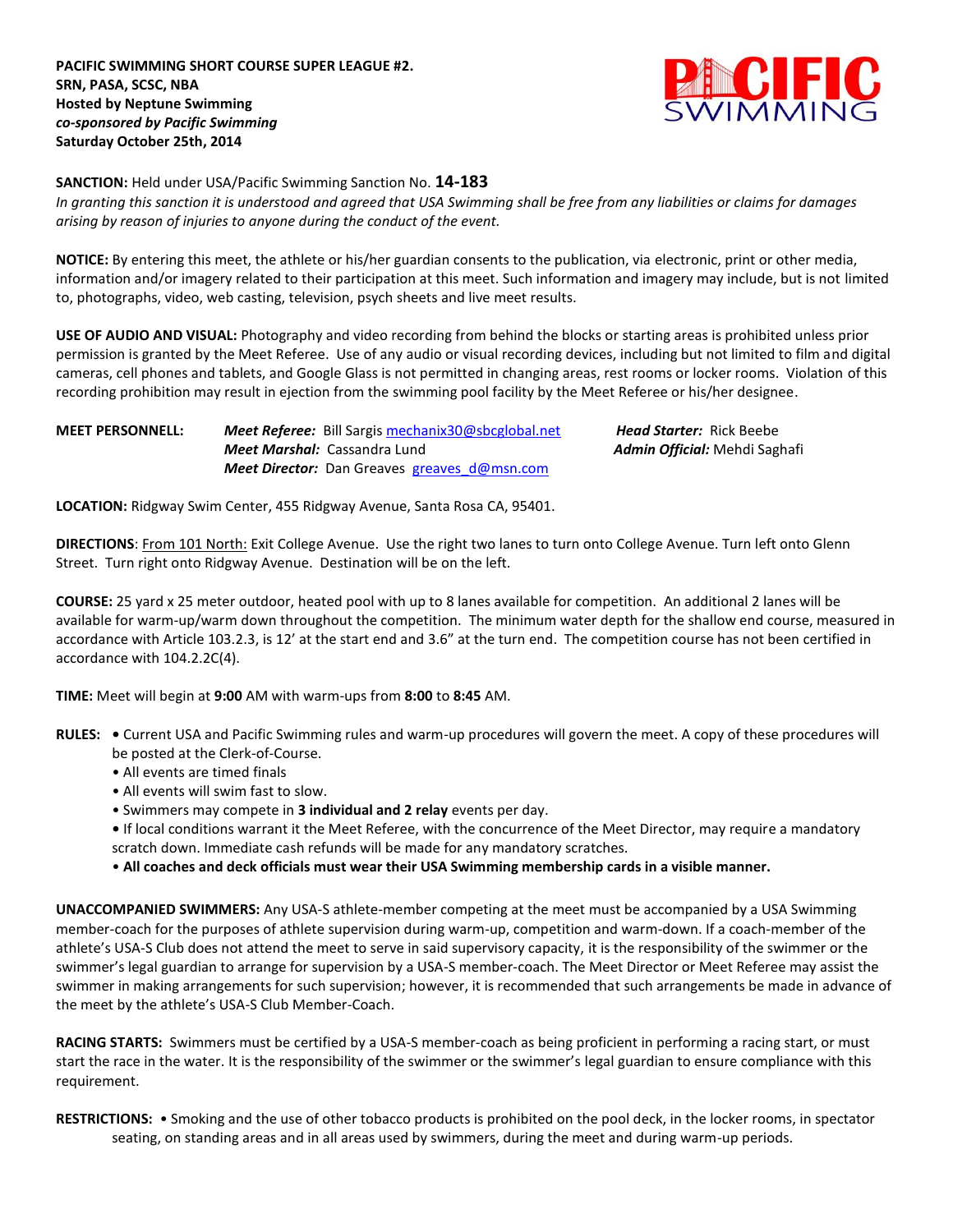**PACIFIC SWIMMING SHORT COURSE SUPER LEAGUE #2. SRN, PASA, SCSC, NBA Hosted by Neptune Swimming** *co-sponsored by Pacific Swimming* **Saturday October 25th, 2014**



#### **SANCTION:** Held under USA/Pacific Swimming Sanction No. **14-183**

*In granting this sanction it is understood and agreed that USA Swimming shall be free from any liabilities or claims for damages arising by reason of injuries to anyone during the conduct of the event.*

**NOTICE:** By entering this meet, the athlete or his/her guardian consents to the publication, via electronic, print or other media, information and/or imagery related to their participation at this meet. Such information and imagery may include, but is not limited to, photographs, video, web casting, television, psych sheets and live meet results.

**USE OF AUDIO AND VISUAL:** Photography and video recording from behind the blocks or starting areas is prohibited unless prior permission is granted by the Meet Referee. Use of any audio or visual recording devices, including but not limited to film and digital cameras, cell phones and tablets, and Google Glass is not permitted in changing areas, rest rooms or locker rooms. Violation of this recording prohibition may result in ejection from the swimming pool facility by the Meet Referee or his/her designee.

**MEET PERSONNELL:** *Meet Referee:* Bill Sargis [mechanix30@sbcglobal.net](mailto:mechanix30@sbcglobal.net) *Head Starter:* Rick Beebe *Meet Marshal:* Cassandra Lund*Admin Official:* Mehdi Saghafi *Meet Director:* Dan Greaves greaves d@msn.com

**LOCATION:** Ridgway Swim Center, 455 Ridgway Avenue, Santa Rosa CA, 95401.

**DIRECTIONS:** From 101 North: Exit College Avenue. Use the right two lanes to turn onto College Avenue. Turn left onto Glenn Street. Turn right onto Ridgway Avenue. Destination will be on the left.

**COURSE:** 25 yard x 25 meter outdoor, heated pool with up to 8 lanes available for competition. An additional 2 lanes will be available for warm-up/warm down throughout the competition. The minimum water depth for the shallow end course, measured in accordance with Article 103.2.3, is 12' at the start end and 3.6" at the turn end. The competition course has not been certified in accordance with 104.2.2C(4).

**TIME:** Meet will begin at **9:00** AM with warm-ups from **8:00** to **8:45** AM.

- **RULES:** Current USA and Pacific Swimming rules and warm-up procedures will govern the meet. A copy of these procedures will be posted at the Clerk-of-Course.
	- All events are timed finals
	- All events will swim fast to slow.
	- Swimmers may compete in **3 individual and 2 relay** events per day.
	- If local conditions warrant it the Meet Referee, with the concurrence of the Meet Director, may require a mandatory scratch down. Immediate cash refunds will be made for any mandatory scratches.

• **All coaches and deck officials must wear their USA Swimming membership cards in a visible manner.** 

**UNACCOMPANIED SWIMMERS:** Any USA-S athlete-member competing at the meet must be accompanied by a USA Swimming member-coach for the purposes of athlete supervision during warm-up, competition and warm-down. If a coach-member of the athlete's USA-S Club does not attend the meet to serve in said supervisory capacity, it is the responsibility of the swimmer or the swimmer's legal guardian to arrange for supervision by a USA-S member-coach. The Meet Director or Meet Referee may assist the swimmer in making arrangements for such supervision; however, it is recommended that such arrangements be made in advance of the meet by the athlete's USA-S Club Member-Coach.

**RACING STARTS:** Swimmers must be certified by a USA-S member-coach as being proficient in performing a racing start, or must start the race in the water. It is the responsibility of the swimmer or the swimmer's legal guardian to ensure compliance with this requirement.

**RESTRICTIONS:** • Smoking and the use of other tobacco products is prohibited on the pool deck, in the locker rooms, in spectator seating, on standing areas and in all areas used by swimmers, during the meet and during warm-up periods.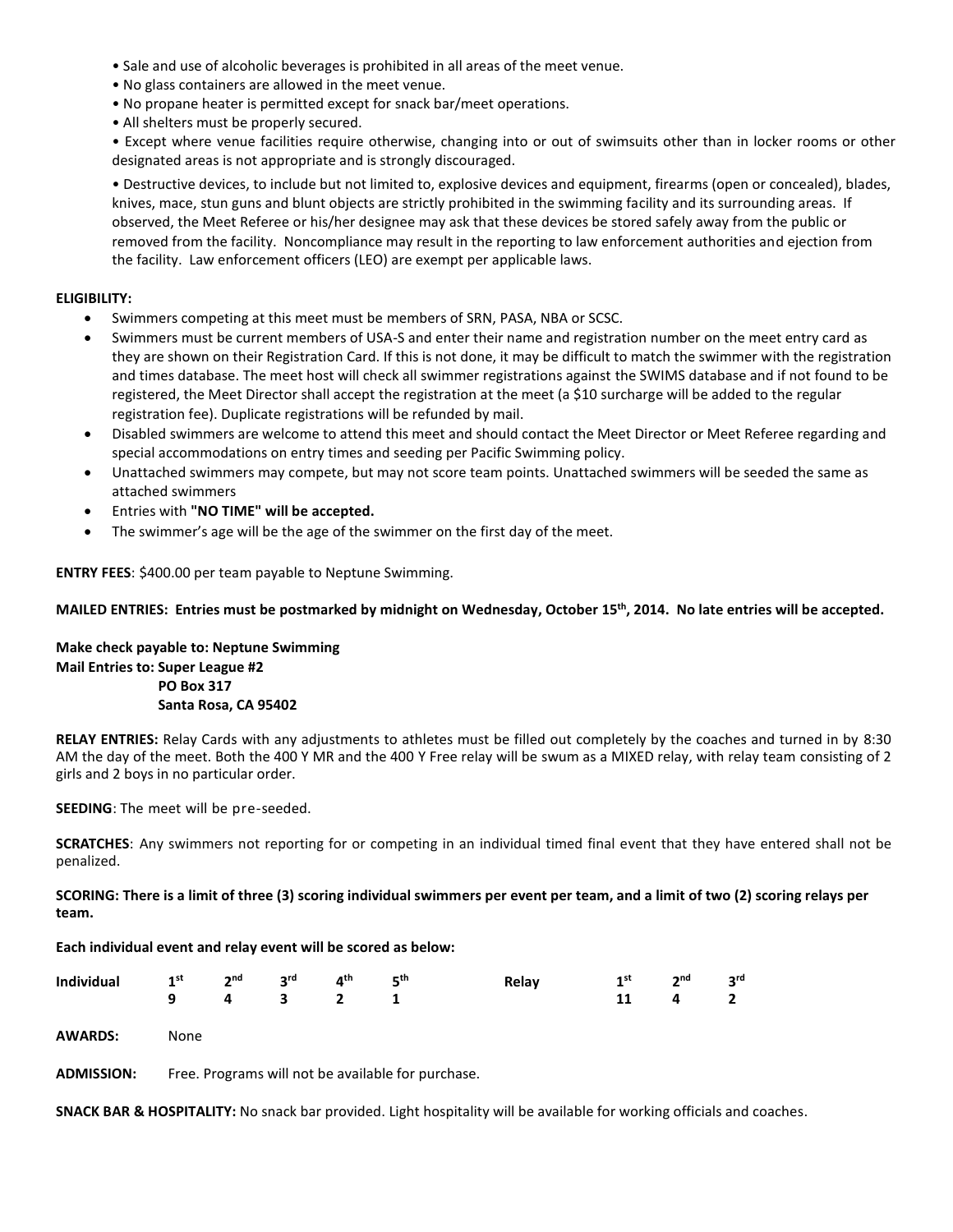- Sale and use of alcoholic beverages is prohibited in all areas of the meet venue.
- No glass containers are allowed in the meet venue.
- No propane heater is permitted except for snack bar/meet operations.
- All shelters must be properly secured.

• Except where venue facilities require otherwise, changing into or out of swimsuits other than in locker rooms or other designated areas is not appropriate and is strongly discouraged.

• Destructive devices, to include but not limited to, explosive devices and equipment, firearms (open or concealed), blades, knives, mace, stun guns and blunt objects are strictly prohibited in the swimming facility and its surrounding areas. If observed, the Meet Referee or his/her designee may ask that these devices be stored safely away from the public or removed from the facility. Noncompliance may result in the reporting to law enforcement authorities and ejection from the facility. Law enforcement officers (LEO) are exempt per applicable laws.

### **ELIGIBILITY:**

- Swimmers competing at this meet must be members of SRN, PASA, NBA or SCSC.
- Swimmers must be current members of USA-S and enter their name and registration number on the meet entry card as they are shown on their Registration Card. If this is not done, it may be difficult to match the swimmer with the registration and times database. The meet host will check all swimmer registrations against the SWIMS database and if not found to be registered, the Meet Director shall accept the registration at the meet (a \$10 surcharge will be added to the regular registration fee). Duplicate registrations will be refunded by mail.
- Disabled swimmers are welcome to attend this meet and should contact the Meet Director or Meet Referee regarding and special accommodations on entry times and seeding per Pacific Swimming policy.
- Unattached swimmers may compete, but may not score team points. Unattached swimmers will be seeded the same as attached swimmers
- Entries with **"NO TIME" will be accepted.**
- The swimmer's age will be the age of the swimmer on the first day of the meet.

**ENTRY FEES**: \$400.00 per team payable to Neptune Swimming.

### **MAILED ENTRIES: Entries must be postmarked by midnight on Wednesday, October 15th, 2014. No late entries will be accepted.**

**Make check payable to: Neptune Swimming Mail Entries to: Super League #2 PO Box 317 Santa Rosa, CA 95402**

**RELAY ENTRIES:** Relay Cards with any adjustments to athletes must be filled out completely by the coaches and turned in by 8:30 AM the day of the meet. Both the 400 Y MR and the 400 Y Free relay will be swum as a MIXED relay, with relay team consisting of 2 girls and 2 boys in no particular order.

**SEEDING**: The meet will be pre-seeded.

**SCRATCHES**: Any swimmers not reporting for or competing in an individual timed final event that they have entered shall not be penalized.

**SCORING: There is a limit of three (3) scoring individual swimmers per event per team, and a limit of two (2) scoring relays per team.**

### **Each individual event and relay event will be scored as below:**

|  |  |           | Individual 1st $2^{nd}$ 3rd $4^{th}$ 5 <sup>th</sup> Relay 1st $2^{nd}$ 3rd |  |  |
|--|--|-----------|-----------------------------------------------------------------------------|--|--|
|  |  | 9 4 3 2 1 | 11 4 2                                                                      |  |  |
|  |  |           |                                                                             |  |  |

**AWARDS:** None

**ADMISSION:** Free. Programs will not be available for purchase.

**SNACK BAR & HOSPITALITY:** No snack bar provided. Light hospitality will be available for working officials and coaches.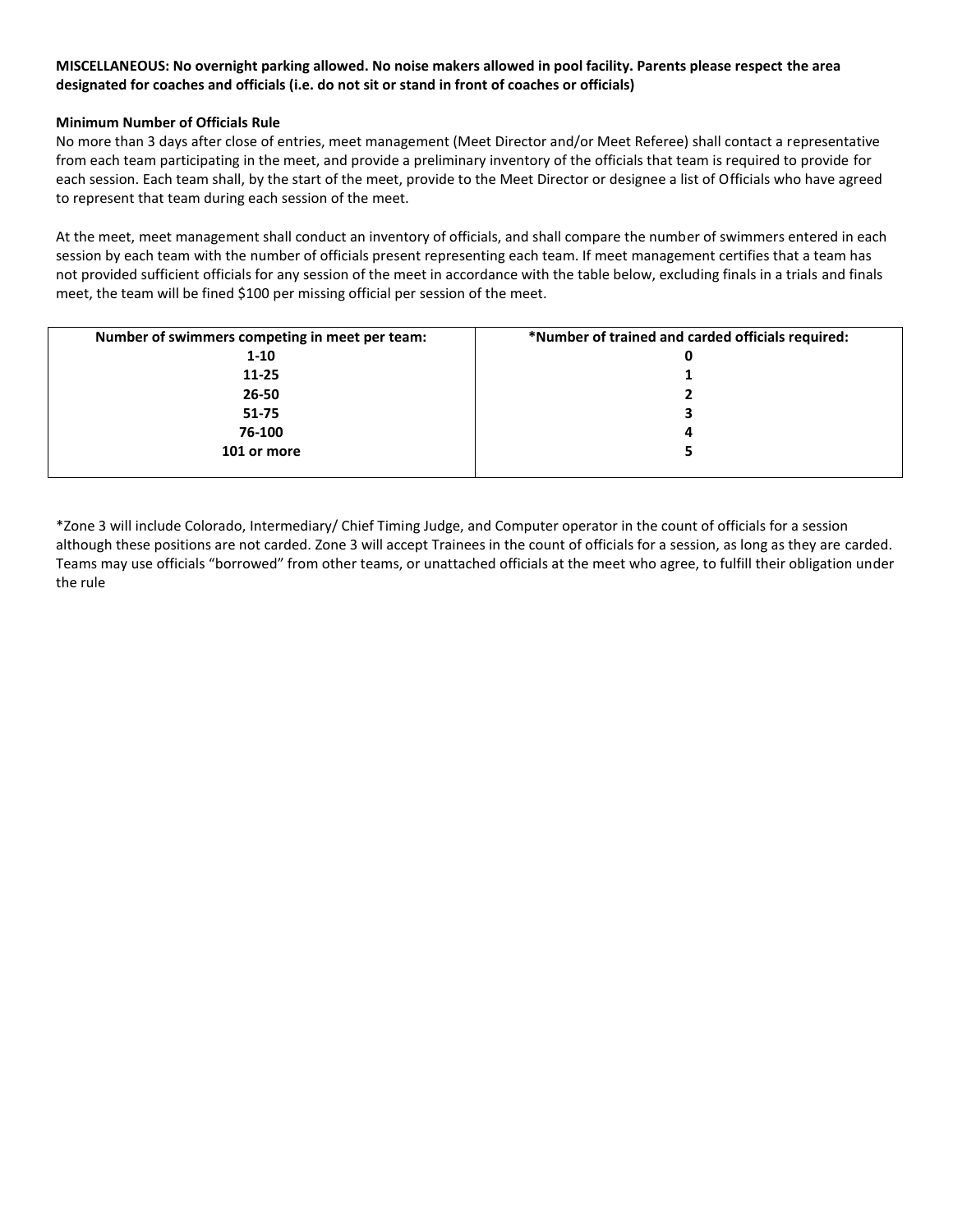## **MISCELLANEOUS: No overnight parking allowed. No noise makers allowed in pool facility. Parents please respect the area designated for coaches and officials (i.e. do not sit or stand in front of coaches or officials)**

### **Minimum Number of Officials Rule**

No more than 3 days after close of entries, meet management (Meet Director and/or Meet Referee) shall contact a representative from each team participating in the meet, and provide a preliminary inventory of the officials that team is required to provide for each session. Each team shall, by the start of the meet, provide to the Meet Director or designee a list of Officials who have agreed to represent that team during each session of the meet.

At the meet, meet management shall conduct an inventory of officials, and shall compare the number of swimmers entered in each session by each team with the number of officials present representing each team. If meet management certifies that a team has not provided sufficient officials for any session of the meet in accordance with the table below, excluding finals in a trials and finals meet, the team will be fined \$100 per missing official per session of the meet.

| Number of swimmers competing in meet per team: | *Number of trained and carded officials required: |
|------------------------------------------------|---------------------------------------------------|
| $1 - 10$                                       | 0                                                 |
| $11 - 25$                                      |                                                   |
| 26-50                                          |                                                   |
| $51 - 75$                                      | 3                                                 |
| 76-100                                         | 4                                                 |
| 101 or more                                    |                                                   |
|                                                |                                                   |

\*Zone 3 will include Colorado, Intermediary/ Chief Timing Judge, and Computer operator in the count of officials for a session although these positions are not carded. Zone 3 will accept Trainees in the count of officials for a session, as long as they are carded. Teams may use officials "borrowed" from other teams, or unattached officials at the meet who agree, to fulfill their obligation under the rule